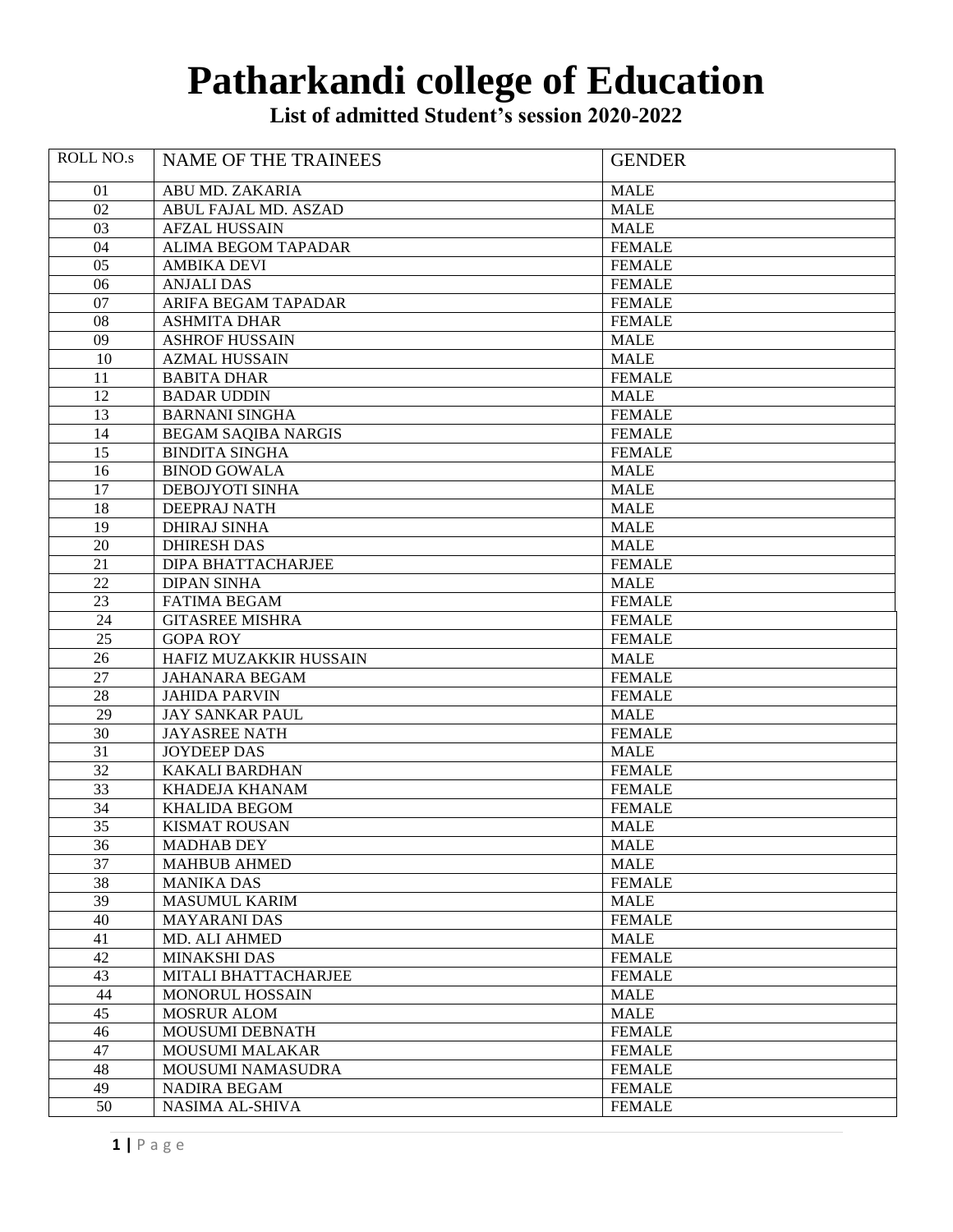## **Patharkandi college of Education**

**List of admitted Student's session 2020-2022**

| <b>ROLL NO.s</b> | <b>NAME OF THE TRAINEES</b> | <b>GENDER</b> |
|------------------|-----------------------------|---------------|
|                  |                             |               |
| 01               | ABU MD. ZAKARIA             | <b>MALE</b>   |
| 02               | ABUL FAJAL MD. ASZAD        | <b>MALE</b>   |
| 03               | <b>AFZAL HUSSAIN</b>        | <b>MALE</b>   |
| 04               | ALIMA BEGOM TAPADAR         | <b>FEMALE</b> |
| 05               | <b>AMBIKA DEVI</b>          | <b>FEMALE</b> |
| 06               | <b>ANJALI DAS</b>           | <b>FEMALE</b> |
| 07               | ARIFA BEGAM TAPADAR         | <b>FEMALE</b> |
| 08               | <b>ASHMITA DHAR</b>         | <b>FEMALE</b> |
| 09               | <b>ASHROF HUSSAIN</b>       | <b>MALE</b>   |
| 10               | <b>AZMAL HUSSAIN</b>        | <b>MALE</b>   |
| 11               | <b>BABITA DHAR</b>          | <b>FEMALE</b> |
| 12               | <b>BADAR UDDIN</b>          | <b>MALE</b>   |
| 13               | <b>BARNANI SINGHA</b>       | <b>FEMALE</b> |
| 14               | <b>BEGAM SAQIBA NARGIS</b>  | <b>FEMALE</b> |
| 15               | <b>BINDITA SINGHA</b>       | <b>FEMALE</b> |
| 16               | <b>BINOD GOWALA</b>         | <b>MALE</b>   |
| 17               | DEBOJYOTI SINHA             | <b>MALE</b>   |
| 18               | DEEPRAJ NATH                | <b>MALE</b>   |
| 19               | <b>DHIRAJ SINHA</b>         | MALE          |
| 20               | <b>DHIRESH DAS</b>          | <b>MALE</b>   |
| 21               | DIPA BHATTACHARJEE          | <b>FEMALE</b> |
| 22               | <b>DIPAN SINHA</b>          | <b>MALE</b>   |
| 23               | <b>FATIMA BEGAM</b>         | <b>FEMALE</b> |
| 24               | <b>GITASREE MISHRA</b>      | <b>FEMALE</b> |
| 25               | <b>GOPA ROY</b>             | <b>FEMALE</b> |
| 26               | HAFIZ MUZAKKIR HUSSAIN      | <b>MALE</b>   |
| 27               | <b>JAHANARA BEGAM</b>       | <b>FEMALE</b> |
| 28               | <b>JAHIDA PARVIN</b>        | <b>FEMALE</b> |
| 29               | <b>JAY SANKAR PAUL</b>      | <b>MALE</b>   |
| 30               | <b>JAYASREE NATH</b>        | <b>FEMALE</b> |
| 31               | <b>JOYDEEP DAS</b>          | <b>MALE</b>   |
| 32               | <b>KAKALI BARDHAN</b>       | <b>FEMALE</b> |
| 33               | <b>KHADEJA KHANAM</b>       | <b>FEMALE</b> |
| 34               | <b>KHALIDA BEGOM</b>        | <b>FEMALE</b> |
| 35               | <b>KISMAT ROUSAN</b>        | <b>MALE</b>   |
| 36               | <b>MADHAB DEY</b>           | <b>MALE</b>   |
| $\overline{37}$  | <b>MAHBUB AHMED</b>         | <b>MALE</b>   |
| $\overline{38}$  | <b>MANIKA DAS</b>           | <b>FEMALE</b> |
| $\overline{39}$  | <b>MASUMUL KARIM</b>        | <b>MALE</b>   |
| 40               | <b>MAYARANI DAS</b>         | <b>FEMALE</b> |
| 41               | <b>MD. ALI AHMED</b>        | <b>MALE</b>   |
| $\overline{42}$  | <b>MINAKSHI DAS</b>         | <b>FEMALE</b> |
| 43               | MITALI BHATTACHARJEE        | <b>FEMALE</b> |
| 44               | MONORUL HOSSAIN             | <b>MALE</b>   |
| $\overline{45}$  | MOSRUR ALOM                 | <b>MALE</b>   |
| 46               | MOUSUMI DEBNATH             | <b>FEMALE</b> |
| 47               | <b>MOUSUMI MALAKAR</b>      | <b>FEMALE</b> |
| 48               | MOUSUMI NAMASUDRA           | <b>FEMALE</b> |
| 49               | NADIRA BEGAM                | <b>FEMALE</b> |
| 50               | NASIMA AL-SHIVA             | <b>FEMALE</b> |